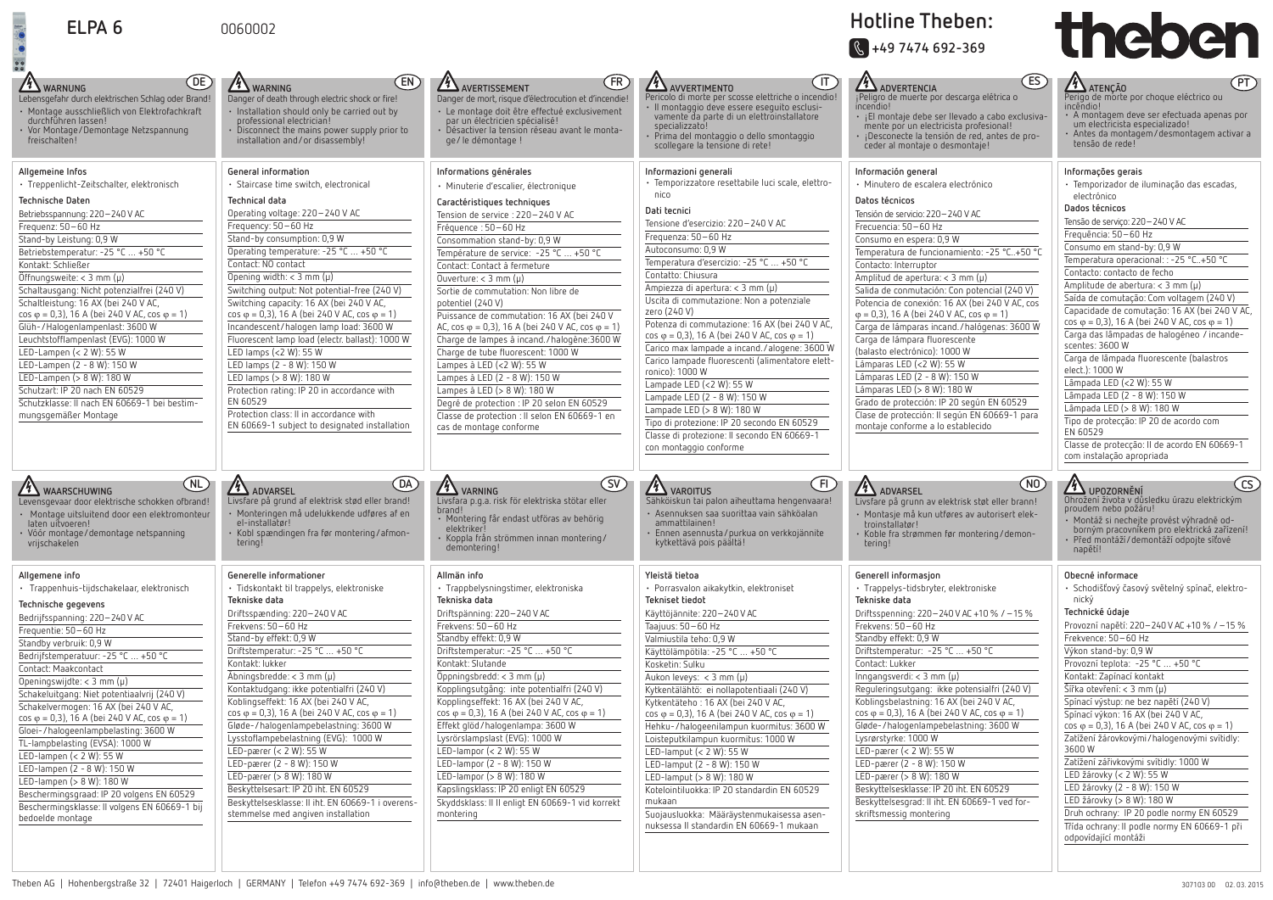

| ELPA <sub>6</sub>                                                                                                                                                                                                                                                                                                                                                                                                                                                                                                                                                                                                                                                                                                                | 0060002                                                                                                                                                                                                                                                                                                                                                                                                                                                                                                                                                                                                                                                                                                                                                                                |                                                                                                                                                                                                                                                                                                                                                                                                                                                                                                                                                                                                                                                                                                                                                                                                  |                                                                                                                                                                                                                                                                                                                                                                                                                                                                                                                                                                                                                                                                                                                                                                                                                    | HOTHLE THEDEN:<br>$\sqrt{\frac{1}{100}}$ +49 7474 692-369                                                                                                                                                                                                                                                                                                                                                                                                                                                                                                                                                                                                                                                                                                                                                | theber                                                                                                                                                                                                                                                                                                                                                                                                                                                                                                                                                                                                                                                                                                                                                                                                                                       |
|----------------------------------------------------------------------------------------------------------------------------------------------------------------------------------------------------------------------------------------------------------------------------------------------------------------------------------------------------------------------------------------------------------------------------------------------------------------------------------------------------------------------------------------------------------------------------------------------------------------------------------------------------------------------------------------------------------------------------------|----------------------------------------------------------------------------------------------------------------------------------------------------------------------------------------------------------------------------------------------------------------------------------------------------------------------------------------------------------------------------------------------------------------------------------------------------------------------------------------------------------------------------------------------------------------------------------------------------------------------------------------------------------------------------------------------------------------------------------------------------------------------------------------|--------------------------------------------------------------------------------------------------------------------------------------------------------------------------------------------------------------------------------------------------------------------------------------------------------------------------------------------------------------------------------------------------------------------------------------------------------------------------------------------------------------------------------------------------------------------------------------------------------------------------------------------------------------------------------------------------------------------------------------------------------------------------------------------------|--------------------------------------------------------------------------------------------------------------------------------------------------------------------------------------------------------------------------------------------------------------------------------------------------------------------------------------------------------------------------------------------------------------------------------------------------------------------------------------------------------------------------------------------------------------------------------------------------------------------------------------------------------------------------------------------------------------------------------------------------------------------------------------------------------------------|----------------------------------------------------------------------------------------------------------------------------------------------------------------------------------------------------------------------------------------------------------------------------------------------------------------------------------------------------------------------------------------------------------------------------------------------------------------------------------------------------------------------------------------------------------------------------------------------------------------------------------------------------------------------------------------------------------------------------------------------------------------------------------------------------------|----------------------------------------------------------------------------------------------------------------------------------------------------------------------------------------------------------------------------------------------------------------------------------------------------------------------------------------------------------------------------------------------------------------------------------------------------------------------------------------------------------------------------------------------------------------------------------------------------------------------------------------------------------------------------------------------------------------------------------------------------------------------------------------------------------------------------------------------|
| (DE)<br><b>14 WARNUNG</b><br>Lebensgefahr durch elektrischen Schlag oder Brand!<br>Montage ausschließlich von Elektrofachkraft<br>durchführen lassen!<br>Vor Montage/Demontage Netzspannung<br>freischalten!                                                                                                                                                                                                                                                                                                                                                                                                                                                                                                                     | (EN)<br><b>4 WARNING</b><br>Danger of death through electric shock or fire!<br>· Installation should only be carried out by<br>professional electrician!<br>• Disconnect the mains power supply prior to<br>installation and/or disassembly!                                                                                                                                                                                                                                                                                                                                                                                                                                                                                                                                           | (FR)<br>AVERTISSEMENT<br>Danger de mort, risque d'électrocution et d'incendie!<br>· Le montage doit être effectué exclusivement<br>par un électricien spécialisé!<br>• Désactiver la tension réseau avant le monta-<br>ge/le démontage !                                                                                                                                                                                                                                                                                                                                                                                                                                                                                                                                                         | $(\sf{IT})$<br><b>11</b> AVVERTIMENTO<br>Pericolo di morte per scosse elettriche o incendio!<br>· Il montaggio deve essere eseguito esclusi-<br>vamente da parte di un elettroinstallatore<br>specializzato!<br>$\cdot$ Prima del montaggio o dello smontaggio<br>scollegare la tensione di rete!                                                                                                                                                                                                                                                                                                                                                                                                                                                                                                                  | <b>ES</b><br><b>14)</b><br><sub>j</sub> Peligro de muerte por descarga elétrica o<br>incendio!<br>· ¡El montaje debe ser llevado a cabo exclusiva-<br>mente por un electricista profesional!<br>· ¡Desconecte la tensión de red, antes de pro-<br>ceder al montaje o desmontaje!                                                                                                                                                                                                                                                                                                                                                                                                                                                                                                                         | <b>A</b> ATENÇÃO<br>$\big($ PT<br>Perigo de morte por choque eléctrico ou<br>incêndio!<br>· A montagem deve ser efectuada apenas por<br>um electricista especializado!<br>$\cdot$ Antes da montagem/desmontagem activar a<br>tensão de rede!                                                                                                                                                                                                                                                                                                                                                                                                                                                                                                                                                                                                 |
| Allgemeine Infos<br>· Treppenlicht-Zeitschalter, elektronisch<br>Technische Daten<br>Betriebsspannung: 220-240 V AC<br>Frequenz: 50-60 Hz<br>Stand-by Leistung: 0,9 W<br>Betriebstemperatur: -25 °C  +50 °C<br>Kontakt: Schließer<br>Öffnungsweite: < 3 mm $(\mu)$<br>Schaltausgang: Nicht potenzialfrei (240 V)<br>Schaltleistung: 16 AX (bei 240 V AC,<br>$\cos \varphi = 0.3$ , 16 A (bei 240 V AC, $\cos \varphi = 1$ )<br>Glüh-/Halogenlampenlast: 3600 W<br>Leuchtstofflampenlast (EVG): 1000 W<br>LED-Lampen (< 2 W): 55 W<br>LED-Lampen (2 - 8 W): 150 W<br>LED-Lampen (> 8 W): 180 W<br>Schutzart: IP 20 nach EN 60529<br>Schutzklasse: Il nach EN 60669-1 bei bestim-<br>mungsgemäßer Montage                          | General information<br>· Staircase time switch, electronical<br>Technical data<br>Operating voltage: 220-240 V AC<br>Frequency: 50-60 Hz<br>Stand-by consumption: 0,9 W<br>Operating temperature: -25 °C  +50 °C<br>Contact: NO contact<br>Opening width: $<$ 3 mm ( $\mu$ )<br>Switching output: Not potential-free (240 V)<br>Switching capacity: 16 AX (bei 240 V AC,<br>$\cos \varphi = 0.3$ ), 16 A (bei 240 V AC, cos $\varphi = 1$ )<br>Incandescent/halogen lamp load: 3600 W<br>Fluorescent lamp load (electr. ballast): 1000 W<br>LED lamps $(< 2 W): 55 W$<br>LED lamps (2 - 8 W): 150 W<br>LED lamps (> 8 W): 180 W<br>Protection rating: IP 20 in accordance with<br>EN 60529<br>Protection class: II in accordance with<br>EN 60669-1 subject to designated installation | Informations générales<br>· Minuterie d'escalier, électronique<br>Caractéristiques techniques<br>Tension de service : 220-240 V AC<br>Fréquence : 50-60 Hz<br>Consommation stand-by: 0,9 W<br>Température de service: -25 °C  +50 °C<br>Contact: Contact à fermeture<br>Ouverture: $<$ 3 mm ( $\mu$ )<br>Sortie de commutation: Non libre de<br>potentiel (240 V)<br>Puissance de commutation: 16 AX (bei 240 V<br>AC, cos $\varphi = 0.3$ ), 16 A (bei 240 V AC, cos $\varphi = 1$ )<br>Charge de lampes à incand./halogène:3600 W<br>Charge de tube fluorescent: 1000 W<br>Lampes à LED (<2 W): 55 W<br>Lampes à LED (2 - 8 W): 150 W<br>Lampes à LED (> 8 W): 180 W<br>Degré de protection : IP 20 selon EN 60529<br>Classe de protection : Il selon EN 60669-1 en<br>cas de montage conforme | Informazioni generali<br>· Temporizzatore resettabile luci scale, elettro-<br>nico<br>Dati tecnici<br>Tensione d'esercizio: 220-240 V AC<br>Frequenza: 50-60 Hz<br>Autoconsumo: 0,9 W<br>Temperatura d'esercizio: -25 °C  +50 °C<br>Contatto: Chiusura<br>Ampiezza di apertura: < 3 mm (µ)<br>Uscita di commutazione: Non a potenziale<br>zero (240 V)<br>Potenza di commutazione: 16 AX (bei 240 V AC,<br>$\cos \varphi = 0.3$ , 16 A (bei 240 V AC, $\cos \varphi = 1$ )<br>Carico max lampade a incand./alogene: 3600 W<br>Carico lampade fluorescenti (alimentatore elett-<br>ronico): 1000 W<br>Lampade LED (<2 W): 55 W<br>Lampade LED (2 - 8 W): 150 W<br>Lampade LED (> 8 W): 180 W<br>Tipo di protezione: IP 20 secondo EN 60529<br>Classe di protezione: Il secondo EN 60669-1<br>con montaggio conforme | Información general<br>· Minutero de escalera electrónico<br>Datos técnicos<br>Tensión de servicio: 220-240 V AC<br>Frecuencia: 50-60 Hz<br>Consumo en espera: 0,9 W<br>Temperatura de funcionamiento: -25 °C+50 °C<br>Contacto: Interruptor<br>Amplitud de apertura: $<$ 3 mm ( $\mu$ )<br>Salida de conmutación: Con potencial (240 V)<br>Potencia de conexión: 16 AX (bei 240 V AC, cos<br>$\varphi = 0.3$ , 16 A (bei 240 V AC, cos $\varphi = 1$ )<br>Carga de lámparas incand./halógenas: 3600 W<br>Carga de lámpara fluorescente<br>(balasto electrónico): 1000 W<br>Lámparas LED (<2 W): 55 W<br>Lámparas LED (2 - 8 W): 150 W<br>Lámparas LED (> 8 W): 180 W<br>Grado de protección: IP 20 según EN 60529<br>Clase de protección: Il según EN 60669-1 para<br>montaje conforme a lo establecido | Informações gerais<br>· Temporizador de iluminação das escadas,<br>electrónico<br>Dados técnicos<br>Tensão de serviço: 220-240 V AC<br>Frequência: 50-60 Hz<br>Consumo em stand-by: 0,9 W<br>Temperatura operacional: : -25 °C+50 °C<br>Contacto: contacto de fecho<br>Amplitude de abertura: $<$ 3 mm ( $\mu$ )<br>Saída de comutação: Com voltagem (240 V)<br>Capacidade de comutação: 16 AX (bei 240 V AO<br>$\cos \varphi = 0.3$ ), 16 A (bei 240 V AC, cos $\varphi = 1$ )<br>Carga das lâmpadas de halogéneo / incande-<br>scentes: 3600 W<br>Carga de lâmpada fluorescente (balastros<br>elect.): 1000 W<br>Lâmpada LED (<2 W): 55 W<br>Lâmpada LED (2 - 8 W): 150 W<br>Lâmpada LED (> 8 W): 180 W<br>Tipo de protecção: IP 20 de acordo com<br>EN 60529<br>Classe de protecção: Il de acordo EN 60669-1<br>com instalação apropriada |
| (NL)<br><b>4 WAARSCHUWING</b><br>Levensgevaar door elektrische schokken ofbrand!<br>Montage uitsluitend door een elektromonteur<br>laten uitvoeren!<br>Vóór montage/demontage netspanning<br>vrijschakelen                                                                                                                                                                                                                                                                                                                                                                                                                                                                                                                       | (DA)<br>/4<br>ADVARSEL<br>Livsfare på grund af elektrisk stød eller brand!<br>· Monteringen må udelukkende udføres af en<br>el-installatør!<br>· Kobl spændingen fra før montering/afmon-<br>tering                                                                                                                                                                                                                                                                                                                                                                                                                                                                                                                                                                                    | $\left(\mathsf{SV}\right)$<br>4 VARNING<br>Livsfara p.q.a. risk for elektriska stotar eller<br>brand!<br>· Montering får endast utföras av behörig<br>elektriker<br>Koppla från strömmen innan montering/<br>demontering!                                                                                                                                                                                                                                                                                                                                                                                                                                                                                                                                                                        | $\overline{\phantom{a}}$ FI<br><b>4</b> VAROITUS<br>Sahkoiskun tai palon aiheuttama hengenvaara!<br>· Asennuksen saa suorittaa vain sähköalan<br>ammattilainen!<br>Ennen asennusta/purkua on verkkojännite<br>kytkettävä pois päältä!                                                                                                                                                                                                                                                                                                                                                                                                                                                                                                                                                                              | (NO)<br><b>4</b> ADVARSEL<br>Livsfare på grunn av elektrisk støt eller brann!<br>· Montasje må kun utføres av autorisert elek-<br>troinstallatør!<br>· Koble fra strømmen før montering/demon-<br>tering!                                                                                                                                                                                                                                                                                                                                                                                                                                                                                                                                                                                                | 4 UPOZORNĚNÍ<br>Unrození zlvota v ousiedku urazu elektrickým<br>proudem nebo požáru!<br>· Montáž si nechejte provést výhradně od-<br>borným pracovníkem pro elektrická zařízení!<br>Před montáží/demontáží odpojte síťové<br>napětí!                                                                                                                                                                                                                                                                                                                                                                                                                                                                                                                                                                                                         |
| Allgemene info<br>· Trappenhuis-tijdschakelaar, elektronisch<br>Technische gegevens<br>Bedrijfsspanning: 220-240 V AC<br>Frequentie: 50-60 Hz<br>Standby verbruik: 0,9 W<br>Bedrijfstemperatuur: -25 °C  +50 °C<br>Contact: Maakcontact<br>Openingswijdte: $<$ 3 mm ( $\mu$ )<br>Schakeluitgang: Niet potentiaalvrij (240 V)<br>Schakelvermogen: 16 AX (bei 240 V AC,<br>$\cos \varphi = 0.3$ ), 16 A (bei 240 V AC, cos $\varphi = 1$ )<br>Gloei-/halogeenlampbelasting: 3600 W<br>TL-lampbelasting (EVSA): 1000 W<br>LED-lampen $(< 2 W)$ : 55 W<br>LED-lampen (2 - 8 W): 150 W<br>LED-lampen (> 8 W): 180 W<br>Beschermingsgraad: IP 20 volgens EN 60529<br>Beschermingsklasse: Il volgens EN 60669-1 bij<br>bedoelde montage | Generelle informationer<br>· Tidskontakt til trappelys, elektroniske<br>Tekniske data<br>Driftsspænding: 220-240 V AC<br>Frekvens: 50-60 Hz<br>Stand-by effekt: 0,9 W<br>Driftstemperatur: -25 °C  +50 °C<br>Kontakt: lukker<br>$\text{Abningsbredde:} < 3 \text{ mm (}\mu\text{)}$<br>Kontaktudgang: ikke potentialfri (240 V)<br>Koblingseffekt: 16 AX (bei 240 V AC,<br>$\cos \varphi = 0.3$ , 16 A (bei 240 V AC, $\cos \varphi = 1$ )<br>Gløde-/halogenlampebelastning: 3600 W<br>Lysstoflampebelastning (EVG): 1000 W<br>LED-pærer (< 2 W): 55 W<br>LED-pærer (2 - 8 W): 150 W<br>LED-pærer (> 8 W): 180 W<br>Beskyttelsesart: IP 20 iht. EN 60529<br>Beskyttelsesklasse: II iht. EN 60669-1 i overens-<br>stemmelse med angiven installation                                    | Allmän info<br>· Trappbelysningstimer, elektroniska<br>Tekniska data<br>Driftspänning: 220-240 V AC<br>Frekvens: 50-60 Hz<br>Standby effekt: 0,9 W<br>Driftstemperatur: -25 °C  +50 °C<br>Kontakt: Slutande<br>Oppinqsbredd: < 3 mm (µ)<br>Kopplingsutgång: inte potentialfri (240 V)<br>Kopplingseffekt: 16 AX (bei 240 V AC,<br>$\cos \varphi = 0.3$ ), 16 A (bei 240 V AC, $\cos \varphi = 1$ )<br>Effekt glöd/halogenlampa: 3600 W<br>Lysrörslampslast (EVG): 1000 W<br>LED-lampor $(< 2 W)$ : 55 W<br>LED-lampor (2 - 8 W): 150 W<br>LED-lampor $(> 8 W)$ : 180 W<br>Kapslingsklass: IP 20 enligt EN 60529<br>Skyddsklass: II II enligt EN 60669-1 vid korrekt<br>montering                                                                                                                 | Yleistä tietoa<br>· Porrasvalon aikakytkin, elektroniset<br>Tekniset tiedot<br>Käyttöjännite: 220-240 V AC<br>Taajuus: 50 - 60 Hz<br>Valmiustila teho: 0,9 W<br>Käyttölämpötila: -25 °C  +50 °C<br>Kosketin: Sulku<br>Aukon leveys: $<$ 3 mm ( $\mu$ )<br>Kytkentälähtö: ei nollapotentiaali (240 V)<br>Kytkentäteho: 16 AX (bei 240 V AC,<br>$\cos \varphi = 0.3$ ), 16 A (bei 240 V AC, cos $\varphi = 1$ )<br>Hehku-/halogeenilampun kuormitus: 3600 W<br>Loisteputkilampun kuormitus: 1000 W<br>LED-lamput $(< 2 W)$ : 55 W<br>LED-lamput $(2 - 8 W)$ : 150 W<br>LED-lamput (> 8 W): 180 W<br>Kotelointiluokka: IP 20 standardin EN 60529<br>mukaan<br>Suojausluokka: Määräystenmukaisessa asen-<br>nuksessa II standardin EN 60669-1 mukaan                                                                   | Generell informasjon<br>· Trappelys-tidsbryter, elektroniske<br>Tekniske data<br>Driftsspenning: 220-240 V AC +10 % / -15 %<br>Frekvens: 50-60 Hz<br>Standby effekt: 0,9 W<br>Driftstemperatur: -25 °C  +50 °C<br>Contact: Lukker<br>Inngangsverdi: $<$ 3 mm ( $\mu$ )<br>Reguleringsutgang: ikke potensialfri (240 V)<br>Koblingsbelastning: 16 AX (bei 240 V AC,<br>$\cos \varphi = 0.3$ , 16 A (bei 240 V AC, cos $\varphi = 1$ )<br>Gløde-/halogenlampebelastning: 3600 W<br>Lysrørstyrke: 1000 W<br>LED-pærer (< 2 W): 55 W<br>LED-pærer (2 - 8 W): 150 W<br>LED-pærer (> 8 W): 180 W<br>Beskyttelsesklasse: IP 20 iht. EN 60529<br>Beskyttelsesgrad: II iht. EN 60669-1 ved for-<br>skriftsmessig montering                                                                                        | Obecné informace<br>· Schodišťový časový světelný spínač, elektro-<br>nický<br>Technické údaje<br>Provozní napětí: 220-240 V AC +10 % / -15 %<br>Frekvence: 50-60 Hz<br>Výkon stand-by: 0,9 W<br>Provozní teplota: -25 °C  +50 °C<br>Kontakt: Zapínací kontakt<br>Šířka otevření: < 3 mm $(\mu)$<br>Spínací výstup: ne bez napětí (240 V)<br>Spínací výkon: 16 AX (bei 240 V AC,<br>$\cos \varphi = 0.3$ , 16 A (bei 240 V AC, $\cos \varphi = 1$ )<br>Zatížení žárovkovými/halogenovými svítidly:<br>3600W<br>Zatížení zářivkovými svítidly: 1000 W<br>LED žárovky (< 2 W): 55 W<br>LED žárovky (2 - 8 W): 150 W<br>LED žárovky (> 8 W): 180 W<br>Druh ochrany: IP 20 podle normy EN 60529<br>Třída ochrany: Il podle normy EN 60669-1 při<br>odpovídající montáži                                                                          |

| ۰. |
|----|
|    |

### **UPOZORNĚNÍ NO CS**Ohrožení života v důsledku úrazu elektrickým proudem nebo požáru! • Montáž si nechejte provést výhradnĕ odborným pracovníkem pro elektrická zařízení!  $\cdot$  Před montáží/demontáží odpojte síťové napětí! incêndio! • A montagem deve ser efectuada apenas por um electricista especializado! • Antes da montagem/desmontagem activar a tensão de rede! **Informações gerais** • Temporizador de iluminação das escadas, electrónico **Dados técnicos** Tensão de serviço: 220–240 V AC Frequência: 50–60 Hz Consumo em stand-by: 0,9 W Temperatura operacional: : -25 °C..+50 °C Contacto: contacto de fecho Amplitude de abertura: < 3 mm  $(\mu)$ Saída de comutação: Com voltagem (240 V) Capacidade de comutação: 16 AX (bei 240 V AC,  $cos φ = 0.3$ ), 16 A (bei 240 V AC,  $cos φ = 1$ ) Carga das lâmpadas de halogéneo / incandescentes: 3600 W Carga de lâmpada fluorescente (balastros elect.): 1000 W Lâmpada LED (<2 W): 55 W Lâmpada LED (2 - 8 W): 150 W Lâmpada LED (> 8 W): 180 W Tipo de protecção: IP 20 de acordo com EN 60529 Classe de protecção: II de acordo EN 60669-1 com instalação apropriada **Obecné informace** • Schodišťový časový světelný spínač, elektronický **Technické údaje** Provozní napětí: 220–240 V AC +10 % / –15 % Frekvence: 50–60 Hz Výkon stand-by: 0,9 W Provozní teplota: -25 °C … +50 °C Kontakt: Zapínací kontakt Šířka otevření: < 3 mm (µ) Spínací výstup: ne bez napětí (240 V) Spínací výkon: 16 AX (bei 240 V AC,  $cos φ = 0.3$ ), 16 A (bei 240 V AC,  $cos φ = 1$ ) Zatížení žárovkovými/halogenovými svítidly:



## **ELPA 6** 0060002

# **Hotline Theben:**